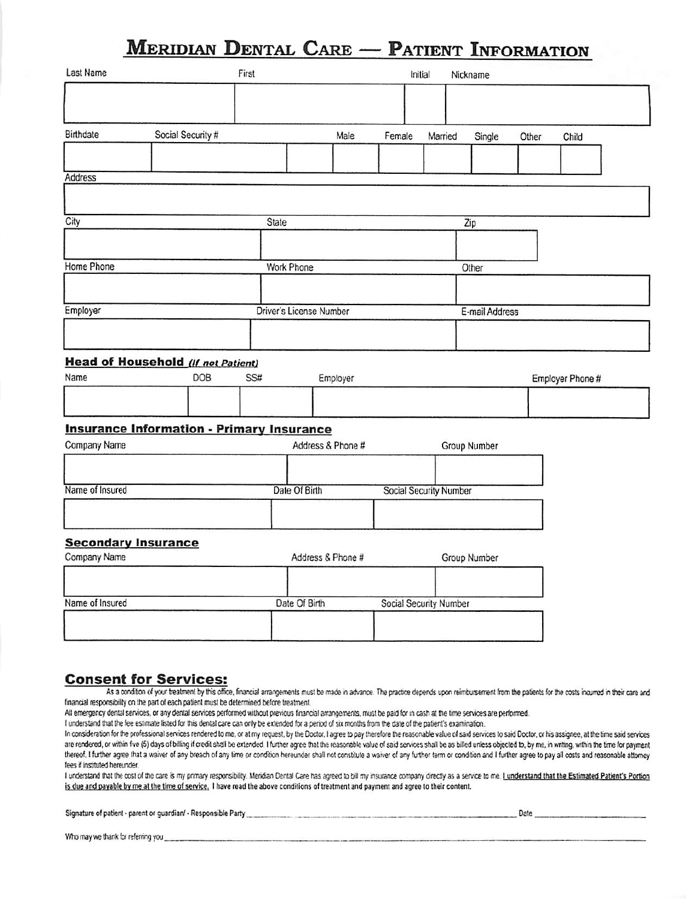## **MERIDIAN DENTAL CARE - PATIENT INFORMATION**

| Last Name                                  |                                                  | First |                                |                   |        | Initial                       | Nickname       |       |                  |  |
|--------------------------------------------|--------------------------------------------------|-------|--------------------------------|-------------------|--------|-------------------------------|----------------|-------|------------------|--|
|                                            |                                                  |       |                                |                   |        |                               |                |       |                  |  |
| Birthdate                                  | Social Security #                                |       |                                | Male              | Female | Married                       | Single         | Other | Child            |  |
| Address                                    |                                                  |       |                                |                   |        |                               |                |       |                  |  |
|                                            |                                                  |       |                                |                   |        |                               |                |       |                  |  |
| City                                       |                                                  | State |                                |                   |        |                               | Zip            |       |                  |  |
|                                            |                                                  |       |                                |                   |        |                               |                |       |                  |  |
| Home Phone                                 |                                                  |       | Work Phone                     |                   |        |                               | Other          |       |                  |  |
|                                            |                                                  |       |                                |                   |        |                               |                |       |                  |  |
| Employer                                   |                                                  |       | <b>Driver's License Number</b> |                   |        |                               | E-mail Address |       |                  |  |
|                                            |                                                  |       |                                |                   |        |                               |                |       |                  |  |
|                                            | <b>Head of Household (If not Patient)</b>        |       |                                |                   |        |                               |                |       |                  |  |
| Name                                       | DOB                                              | SS#   |                                | Employer          |        |                               |                |       | Employer Phone # |  |
|                                            |                                                  |       |                                |                   |        |                               |                |       |                  |  |
|                                            | <b>Insurance Information - Primary Insurance</b> |       |                                |                   |        |                               |                |       |                  |  |
| Company Name                               |                                                  |       |                                | Address & Phone # |        |                               | Group Number   |       |                  |  |
|                                            |                                                  |       |                                |                   |        |                               |                |       |                  |  |
| Name of Insured                            |                                                  |       | Date Of Birth                  |                   |        | <b>Social Security Number</b> |                |       |                  |  |
|                                            |                                                  |       |                                |                   |        |                               |                |       |                  |  |
| <b>Secondary Insurance</b><br>Company Name |                                                  |       |                                | Address & Phone # |        |                               | Group Number   |       |                  |  |
|                                            |                                                  |       |                                |                   |        |                               |                |       |                  |  |
| Name of Insured                            |                                                  |       | Date Of Birth                  |                   |        | Social Security Number        |                |       |                  |  |
|                                            |                                                  |       |                                |                   |        |                               |                |       |                  |  |
|                                            |                                                  |       |                                |                   |        |                               |                |       |                  |  |

#### **Consent for Services:**

As a condition of your treatment by this office, financial arrangements must be made in advance. The practice depends upon reimbursement from the patients for the costs incurred in their care and financial responsibility on the part of each patient must be determined before treatment.

All emergency dental services, or any dental services performed without previous financial arrangements, must be paid for in cash at the time services are performed.

I understand that the fee estimate listed for this dental care can only be extended for a period of six months from the date of the patient's examination.

In consideration for the professional services rendered to me, or at my request, by the Doctor, I agree to pay therefore the reasonable value of said services to said Doctor, or his assignee, at the time said services are rendered, or within five (5) days of billing if credit shall be extended. I further agree that the reasonable value of said services shall be as billed unless objected to, by me, in writing, within the time for payment thereof. I further agree that a waiver of any breach of any time or condition hereunder shall not constitute a waiver of any further term or condition and I further agree to pay all costs and reasonable attorney fees if instituted hereunder.

I understand that the cost of the care is my primary responsibility. Meridian Dental Care has agreed to bill my insurance company directly as a service to me. I understand that the Estimated Patient's Portion is due and payable by me at the time of service. I have read the above conditions of treatment and payment and agree to their content.

| Signature of patient - parent or guardian/ - Responsible Party | Date |  |
|----------------------------------------------------------------|------|--|
|                                                                |      |  |

Who may we thank for referring you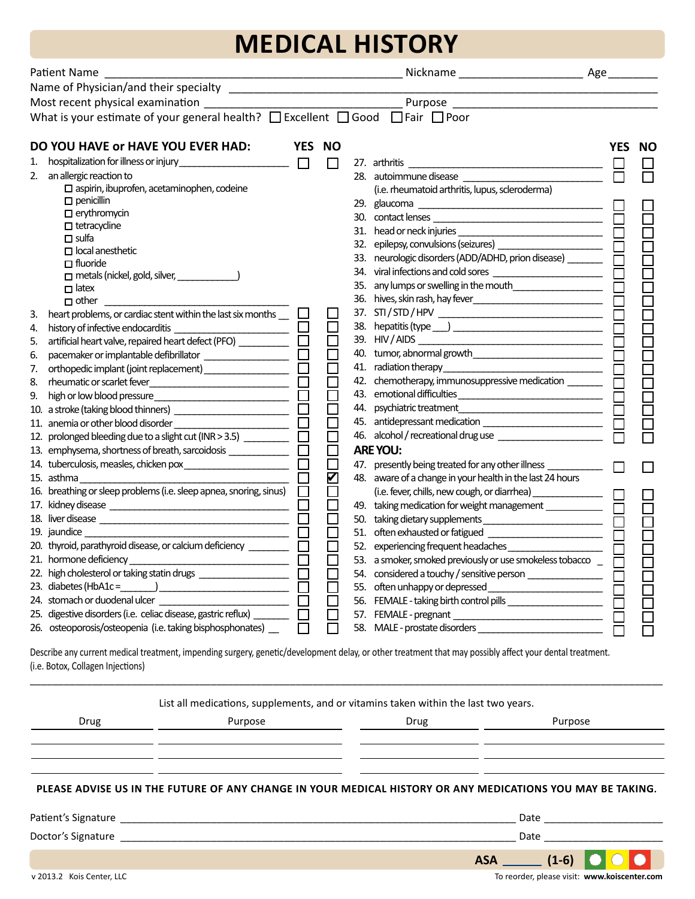# **MEDICAL HISTORY**

| Patient Name |                                                                                                    |            |           |  |                                                                            |     |    |  |
|--------------|----------------------------------------------------------------------------------------------------|------------|-----------|--|----------------------------------------------------------------------------|-----|----|--|
|              | Name of Physician/and their specialty                                                              |            |           |  |                                                                            |     |    |  |
|              | Most recent physical examination ___________                                                       |            |           |  | Purpose                                                                    |     |    |  |
|              | What is your estimate of your general health? $\Box$ Excellent $\Box$ Good $\Box$ Fair $\Box$ Poor |            |           |  |                                                                            |     |    |  |
|              | DO YOU HAVE OF HAVE YOU EVER HAD:                                                                  | <b>YES</b> | <b>NO</b> |  |                                                                            | YES | NΟ |  |
| 1.           |                                                                                                    | $\Box$     | П         |  | 27. arthritis                                                              |     |    |  |
| 2.           | an allergic reaction to                                                                            |            |           |  | 28. autoimmune disease                                                     |     |    |  |
|              | $\square$ aspirin, ibuprofen, acetaminophen, codeine                                               |            |           |  | (i.e. rheumatoid arthritis, lupus, scleroderma)                            |     |    |  |
|              | $\Box$ penicillin                                                                                  |            |           |  |                                                                            |     |    |  |
|              | $\Box$ erythromycin                                                                                |            |           |  |                                                                            |     |    |  |
|              | $\Box$ tetracycline                                                                                |            |           |  |                                                                            |     |    |  |
|              | $\Box$ sulfa                                                                                       |            |           |  | 32. epilepsy, convulsions (seizures) ______________________                |     |    |  |
|              | $\Box$ local anesthetic                                                                            |            |           |  | 33. neurologic disorders (ADD/ADHD, prion disease) ________                |     |    |  |
|              | $\Box$ fluoride<br>$\Box$ metals (nickel, gold, silver, $\Box$                                     |            |           |  |                                                                            |     |    |  |
|              | $\Box$ latex                                                                                       |            |           |  | 35. any lumps or swelling in the mouth                                     |     |    |  |
|              | $\Box$ other                                                                                       |            |           |  |                                                                            |     |    |  |
| 3.           | heart problems, or cardiac stent within the last six months $\Box$                                 |            |           |  |                                                                            |     |    |  |
| 4.           |                                                                                                    |            |           |  |                                                                            |     |    |  |
| 5.           | artificial heart valve, repaired heart defect (PFO) ___________                                    |            |           |  |                                                                            |     |    |  |
| 6.           | pacemaker or implantable defibrillator ____________________                                        |            |           |  |                                                                            |     |    |  |
| 7.           | orthopedic implant (joint replacement) ___________________                                         |            |           |  | 41. radiation therapy                                                      |     |    |  |
| 8.           |                                                                                                    |            |           |  | 42. chemotherapy, immunosuppressive medication _______                     |     |    |  |
| 9.           |                                                                                                    |            |           |  | 43. emotional difficulties                                                 |     |    |  |
|              |                                                                                                    |            |           |  |                                                                            |     |    |  |
|              | 11. anemia or other blood disorder                                                                 |            |           |  | 45. antidepressant medication _________________________                    |     |    |  |
|              | 12. prolonged bleeding due to a slight cut (INR > 3.5) __________                                  |            |           |  | 46. alcohol / recreational drug use _______________________                |     |    |  |
|              | 13. emphysema, shortness of breath, sarcoidosis _____________                                      |            |           |  | <b>ARE YOU:</b>                                                            |     |    |  |
|              |                                                                                                    |            |           |  | 47. presently being treated for any other illness ___________              |     |    |  |
|              | 15. asthma                                                                                         |            |           |  | 48. aware of a change in your health in the last 24 hours                  |     |    |  |
|              | 16. breathing or sleep problems (i.e. sleep apnea, snoring, sinus)                                 |            |           |  | (i.e. fever, chills, new cough, or diarrhea)                               |     |    |  |
|              |                                                                                                    |            |           |  | 49. taking medication for weight management ____________                   |     |    |  |
|              |                                                                                                    |            |           |  | 50. taking dietary supplements                                             |     |    |  |
|              | 19. jaundice                                                                                       |            |           |  |                                                                            |     |    |  |
|              | 20. thyroid, parathyroid disease, or calcium deficiency ________                                   |            |           |  | 52. experiencing frequent headaches                                        |     |    |  |
|              |                                                                                                    |            |           |  | 53. a smoker, smoked previously or use smokeless tobacco $\overline{\Box}$ |     |    |  |
|              | 22. high cholesterol or taking statin drugs ______________________________                         |            |           |  | 54. considered a touchy / sensitive person _________________               |     |    |  |
|              |                                                                                                    |            |           |  | 55. often unhappy or depressed _________________________                   |     |    |  |
|              | 24. stomach or duodenal ulcer                                                                      |            |           |  | 56. FEMALE - taking birth control pills _____________________              |     |    |  |
|              | 25. digestive disorders (i.e. celiac disease, gastric reflux) __________                           |            |           |  |                                                                            |     |    |  |
|              | 26. osteoporosis/osteopenia (i.e. taking bisphosphonates) _                                        |            |           |  | 58. MALE - prostate disorders                                              |     |    |  |

Describe any current medical treatment, impending surgery, genetic/development delay, or other treatment that may possibly affect your dental treatment. (i.e. Botox, Collagen Injections)

|      | List all medications, supplements, and or vitamins taken within the last two years. |      |                                                                                                            |
|------|-------------------------------------------------------------------------------------|------|------------------------------------------------------------------------------------------------------------|
| Drug | Purpose                                                                             | Drug | Purpose                                                                                                    |
|      |                                                                                     |      |                                                                                                            |
|      |                                                                                     |      |                                                                                                            |
|      |                                                                                     |      | PLEASE ADVISE US IN THE FUTURE OF ANY CHANGE IN YOUR MEDICAL HISTORY OR ANY MEDICATIONS YOU MAY BE TAKING. |
|      |                                                                                     |      | Date ________________________                                                                              |
|      |                                                                                     |      | Date                                                                                                       |
|      |                                                                                     |      |                                                                                                            |

\_\_\_\_\_\_\_\_\_\_\_\_\_\_\_\_\_\_\_\_\_\_\_\_\_\_\_\_\_\_\_\_\_\_\_\_\_\_\_\_\_\_\_\_\_\_\_\_\_\_\_\_\_\_\_\_\_\_\_\_\_\_\_\_\_\_\_\_\_\_\_\_\_\_\_\_\_\_\_\_\_\_\_\_\_\_\_\_\_\_\_\_\_\_\_\_\_\_\_\_\_\_\_\_\_\_\_\_\_\_\_\_

v 2013.2 Kois Center, LLC To reorder, please visit: **www.koiscenter.com**

 $\bigcirc$  $\bullet$ 

**ASA (1-6)**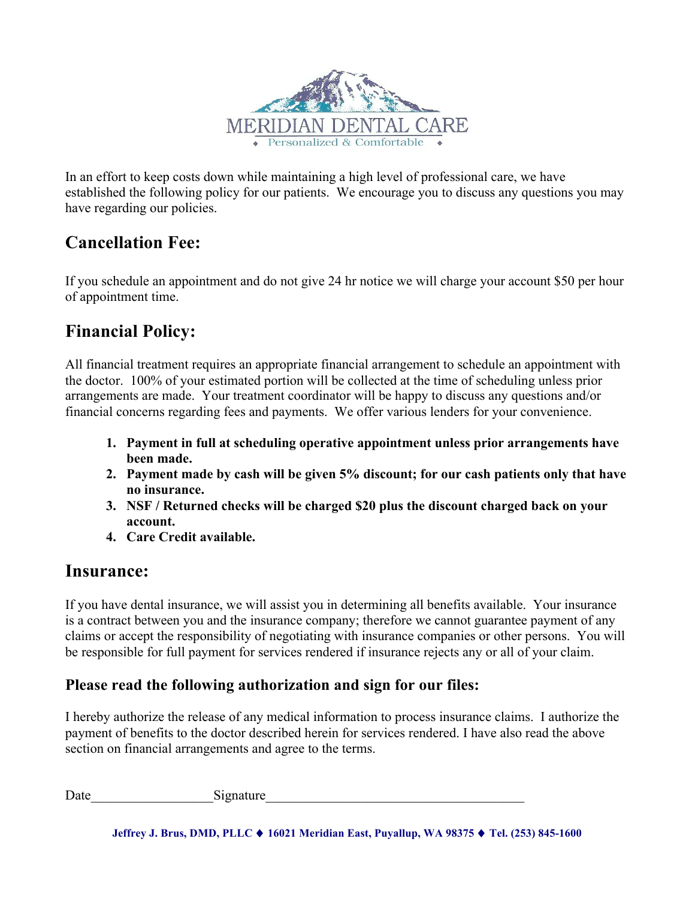

In an effort to keep costs down while maintaining a high level of professional care, we have established the following policy for our patients. We encourage you to discuss any questions you may have regarding our policies.

## **Cancellation Fee:**

If you schedule an appointment and do not give 24 hr notice we will charge your account \$50 per hour of appointment time.

## **Financial Policy:**

All financial treatment requires an appropriate financial arrangement to schedule an appointment with the doctor. 100% of your estimated portion will be collected at the time of scheduling unless prior arrangements are made. Your treatment coordinator will be happy to discuss any questions and/or financial concerns regarding fees and payments. We offer various lenders for your convenience.

- **1. Payment in full at scheduling operative appointment unless prior arrangements have been made.**
- **2. Payment made by cash will be given 5% discount; for our cash patients only that have no insurance.**
- **3. NSF / Returned checks will be charged \$20 plus the discount charged back on your account.**
- **4. Care Credit available.**

## **Insurance:**

If you have dental insurance, we will assist you in determining all benefits available. Your insurance is a contract between you and the insurance company; therefore we cannot guarantee payment of any claims or accept the responsibility of negotiating with insurance companies or other persons. You will be responsible for full payment for services rendered if insurance rejects any or all of your claim.

### **Please read the following authorization and sign for our files:**

I hereby authorize the release of any medical information to process insurance claims. I authorize the payment of benefits to the doctor described herein for services rendered. I have also read the above section on financial arrangements and agree to the terms.

Date Signature

**Jeffrey J. Brus, DMD, PLLC** ♦ **16021 Meridian East, Puyallup, WA 98375** ♦ **Tel. (253) 845-1600**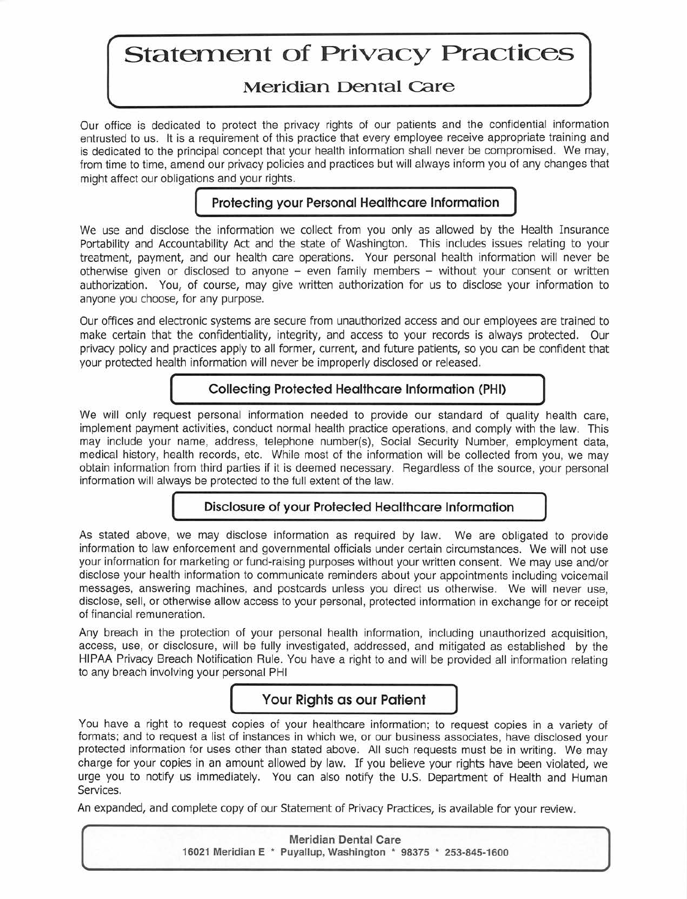## **Statement of Privacy Practices**

## **Meridian Dental Care**

Our office is dedicated to protect the privacy rights of our patients and the confidential information entrusted to us. It is a requirement of this practice that every employee receive appropriate training and is dedicated to the principal concept that your health information shall never be compromised. We may, from time to time, amend our privacy policies and practices but will always inform you of any changes that might affect our obligations and your rights.

#### Protecting your Personal Healthcare Information

We use and disclose the information we collect from you only as allowed by the Health Insurance Portability and Accountability Act and the state of Washington. This includes issues relating to your treatment, payment, and our health care operations. Your personal health information will never be otherwise given or disclosed to anyone  $-$  even family members  $-$  without your consent or written authorization. You, of course, may give written authorization for us to disclose your information to anyone you choose, for any purpose.

Our offices and electronic systems are secure from unauthorized access and our employees are trained to make certain that the confidentiality, integrity, and access to your records is always protected. Our privacy policy and practices apply to all former, current, and future patients, so you can be confident that your protected health information will never be improperly disclosed or released.

#### **Collecting Protected Healthcare Information (PHI)**

We will only request personal information needed to provide our standard of quality health care, implement payment activities, conduct normal health practice operations, and comply with the law. This may include your name, address, telephone number(s), Social Security Number, employment data. medical history, health records, etc. While most of the information will be collected from you, we may obtain information from third parties if it is deemed necessary. Regardless of the source, your personal information will always be protected to the full extent of the law.

#### Disclosure of your Protected Healthcare Information

As stated above, we may disclose information as required by law. We are obligated to provide information to law enforcement and governmental officials under certain circumstances. We will not use your information for marketing or fund-raising purposes without your written consent. We may use and/or disclose your health information to communicate reminders about your appointments including voicemail messages, answering machines, and postcards unless you direct us otherwise. We will never use, disclose, sell, or otherwise allow access to your personal, protected information in exchange for or receipt of financial remuneration.

Any breach in the protection of your personal health information, including unauthorized acquisition, access, use, or disclosure, will be fully investigated, addressed, and mitigated as established by the HIPAA Privacv Breach Notification Rule. You have a right to and will be provided all information relating to any breach involving your personal PHI

#### Your Riahts as our Patient

You have a right to request copies of your healthcare information; to request copies in a variety of formats; and to request a list of instances in which we, or our business associates, have disclosed your protected information for uses other than stated above. All such requests must be in writing. We may charge for your copies in an amount allowed by law. If you believe your rights have been violated, we urge you to notify us immediately. You can also notify the U.S. Department of Health and Human Services.

An expanded, and complete copy of our Statement of Privacy Practices, is available for your review.